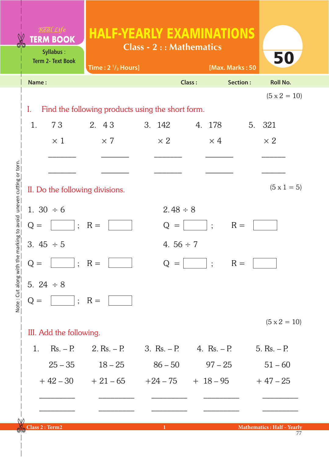| <b>TERM BOOK</b><br>Syllabus:   | <b>HALF-YEARLY EXAMINATIONS</b><br><b>Class - 2 :: Mathematics</b> |  |                |                 |            |          |                     |
|---------------------------------|--------------------------------------------------------------------|--|----------------|-----------------|------------|----------|---------------------|
| <b>Term 2- Text Book</b>        | Time: $2 \frac{1}{2}$ Hours]                                       |  |                | [Max. Marks: 50 |            |          | 50                  |
| Name:                           |                                                                    |  |                | Class:          |            | Section: | <b>Roll No.</b>     |
|                                 |                                                                    |  |                |                 |            |          | $(5 \times 2 = 10)$ |
| I.                              | Find the following products using the short form.                  |  |                |                 |            |          |                     |
| 1.<br>73                        | 2. 43                                                              |  | 3. 142         |                 | 4. 178     |          | 5. 321              |
| $\times$ 1                      | $\times$ 7                                                         |  | $\times 2$     |                 | $\times$ 4 |          | $\times 2$          |
|                                 |                                                                    |  |                |                 |            |          |                     |
|                                 |                                                                    |  |                |                 |            |          |                     |
| II. Do the following divisions. |                                                                    |  |                |                 |            |          | $(5 \times 1 = 5)$  |
| 1. $30 \div 6$                  |                                                                    |  | $2.48 \div 8$  |                 |            |          |                     |
| $Q =$                           | $; R =$                                                            |  | $Q =$          |                 | $\cdot$    | $R =$    |                     |
| 3. $45 \div 5$                  |                                                                    |  | 4. $56 \div 7$ |                 |            |          |                     |
| $Q =$<br>$\ddot{\cdot}$         | $R =$                                                              |  | Q<br>$=$       |                 | $\ddot{.}$ | $R =$    |                     |
| 5. $24 \div 8$                  |                                                                    |  |                |                 |            |          |                     |
| $Q =$                           | $\vert$ ; R =                                                      |  |                |                 |            |          |                     |
|                                 |                                                                    |  |                |                 |            |          | $(5 \times 2 = 10)$ |
| III. Add the following.         |                                                                    |  |                |                 |            |          |                     |
| $Rs. - P.$<br>1.                | 2. $Rs. - P.$                                                      |  | 3. $Rs. - P.$  | 4. $Rs. - P.$   |            |          | 5. $Rs. - P.$       |
| $25 - 35$                       | $18 - 25$                                                          |  | $86 - 50$      |                 | $97 - 25$  |          | $51 - 60$           |
| $+42-30$                        | $+21-65$                                                           |  | $+24-75$       | $+18-95$        |            |          | $+47-25$            |
|                                 |                                                                    |  |                |                 |            |          |                     |
|                                 |                                                                    |  |                |                 |            |          |                     |

Note: Cut along with the marking to avoid uneven cutting or torn. Note : Cut along with the marking to avoid uneven cutting or torn.